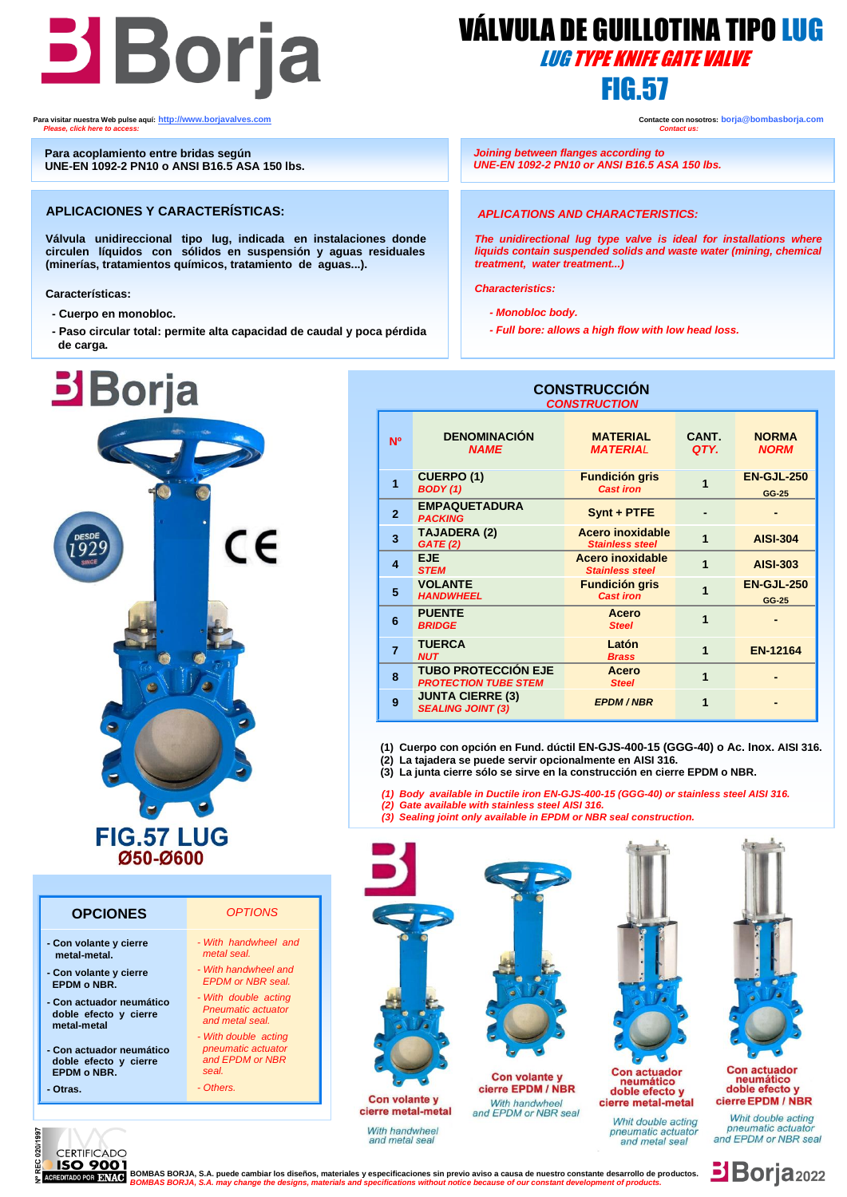# **Borja** WALVULA DE GUILLO

 **Para visitar nuestra Web pulse aquí: [http://www.borjavalves.com](http://www.borjavalves.com/) Contacte con nosotros: borja@bombasborja.com**  *Please, click here to access: Contact us:* 

 **Para acoplamiento entre bridas según UNE-EN 1092-2 PN10 o ANSI B16.5 ASA 150 lbs.**

### **APLICACIONES Y CARACTERÍSTICAS:**

 **Válvula unidireccional tipo lug, indicada en instalaciones donde (minerías, tratamientos químicos, tratamiento de aguas...). circulen líquidos con sólidos en suspensión y aguas residuales** 

ï **Características:**

- **- Cuerpo en monobloc.**
- **- Paso circular total: permite alta capacidad de caudal y poca pérdida de carga.**



# **OPCIONES** *OPTIONS*

- **- Con volante y cierre metal-metal.**
- **- Con volante y cierre EPDM o NBR.**
- **- Con actuador neumático doble efecto y cierre metal-metal**
- **- Con actuador neumático doble efecto y cierre EPDM o NBR.**
- **- Otras.**

| - With handwheel and                             |
|--------------------------------------------------|
| metal seal.                                      |
| - With handwheel and<br><b>EPDM</b> or NBR seal. |
| - With double acting                             |
| <b>Dnoumatio</b> actuator                        |

- *Pneumatic actuator and metal seal. - With double acting*
- *pneumatic actuato and EPDM or NBR*
- *seal. - Others.*
	-

 VÁLVULA DE GUILLOTINA TIPO LUG LUG TYPE KNIFE GATE VALVE

 *Joining between flanges according to UNE-EN 1092-2 PN10 or ANSI B16.5 ASA 150 lbs.*

### *APLICATIONS AND CHARACTERISTICS:*

*The unidirectional lug type valve is ideal for installations where liquids contain suspended solids and waste water (mining, chemical treatment, water treatment...)*

*Characteristics:*

 $\overline{a}$ 

- *- Monobloc body.*
- *- Full bore: allows a high flow with low head loss.*

#### **CONSTRUCCIÓN**  *CONSTRUCTION*

| <b>N°</b>      | <b>DENOMINACIÓN</b><br><b>NAME</b>                        | <b>MATERIAL</b><br><b>MATERIAL</b>                | CANT.<br>QTY.  | <b>NORMA</b><br><b>NORM</b> |  |
|----------------|-----------------------------------------------------------|---------------------------------------------------|----------------|-----------------------------|--|
| 1              | <b>CUERPO (1)</b><br><b>BODY</b> (1)                      | <b>Fundición gris</b><br><b>Cast iron</b>         |                | <b>EN-GJL-250</b><br>GG-25  |  |
| $\overline{2}$ | <b>EMPAQUETADURA</b><br><b>PACKING</b>                    | Synt + PTFE                                       |                |                             |  |
| 3              | <b>TAJADERA (2)</b><br><b>GATE (2)</b>                    | <b>Acero inoxidable</b><br><b>Stainless steel</b> | 1              | <b>AISI-304</b>             |  |
| 4              | <b>EJE</b><br><b>STEM</b>                                 | <b>Acero inoxidable</b><br><b>Stainless steel</b> | 1              | <b>AISI-303</b>             |  |
| 5              | <b>VOLANTE</b><br><b>HANDWHEEL</b>                        | <b>Fundición gris</b><br><b>Cast iron</b>         | 1              | <b>EN-GJL-250</b><br>GG-25  |  |
| 6              | <b>PUENTE</b><br><b>BRIDGE</b>                            | <b>Acero</b><br><b>Steel</b>                      | 1              |                             |  |
| $\overline{7}$ | <b>TUERCA</b><br><b>NUT</b>                               | Latón<br><b>Brass</b>                             | $\overline{1}$ | <b>EN-12164</b>             |  |
| 8              | <b>TUBO PROTECCIÓN EJE</b><br><b>PROTECTION TUBE STEM</b> | <b>Acero</b><br><b>Steel</b>                      | 1              |                             |  |
| 9              | <b>JUNTA CIERRE (3)</b><br><b>SEALING JOINT (3)</b>       | <b>EPDM/NBR</b>                                   | 1              |                             |  |

 **(1) Cuerpo con opción en Fund. dúctil EN-GJS-400-15 (GGG-40) o Ac. Inox. AISI 316.**

**(2) La tajadera se puede servir opcionalmente en AISI 316.**

 **(3) La junta cierre sólo se sirve en la construcción en cierre EPDM o NBR.**

- *(1) Body available in Ductile iron EN-GJS-400-15 (GGG-40) or stainless steel AISI 316.*
- *(2) Gate available with stainless steel AISI 316.*
- *(3) Sealing joint only available in EPDM or NBR seal construction.*





**BSO 9001**<br>REDITADORDE BOMBAS BORJA, S.A. puede cambiar los diseños, materiales y especificaciones sin previo aviso a causa de nuestro constante desarrollo de productos.  *BOMBAS BORJA, S.A. may change the designs, materials and specifications without notice because of our constant development of products.*

**Borja<sub>2022</sub>**